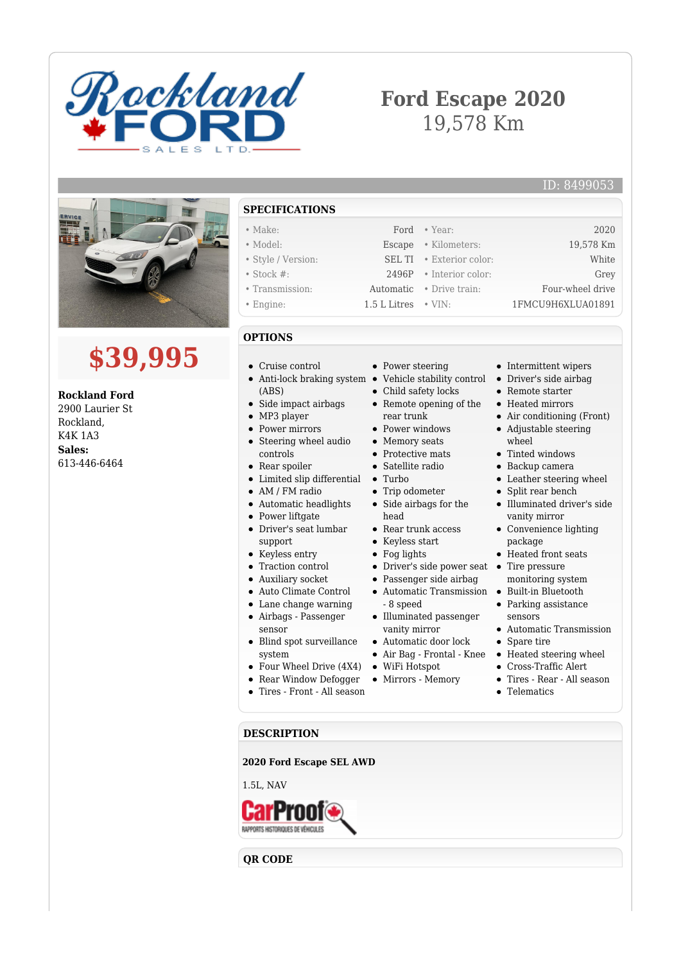

# **Ford Escape 2020** 19,578 Km

### ID: 8499053





**Rockland Ford** 2900 Laurier St Rockland, K4K 1A3 **Sales:** 613-446-6464

## **SPECIFICATIONS**

| $\bullet$ Make:    |                             | Ford • Year:                    | 2020              |
|--------------------|-----------------------------|---------------------------------|-------------------|
| $\bullet$ Model:   |                             | Escape • Kilometers:            | 19,578 Km         |
| • Style / Version: |                             | SEL TI . Exterior color:        | White             |
| $\bullet$ Stock #: |                             | $2496P$ • Interior color:       | Grey              |
| • Transmission:    |                             | <b>Automatic</b> • Drive train: | Four-wheel drive  |
| $\bullet$ Engine:  | $1.5$ L Litres $\cdot$ VIN: |                                 | 1FMCU9H6XLUA01891 |

#### **OPTIONS**

- Cruise control
- Anti-lock braking system Vehicle stability control Driver's side airbag (ABS)
- Side impact airbags
- Steering wheel audio controls
- Rear spoiler
- Limited slip differential Turbo
- AM / FM radio
- Automatic headlights
- 
- support
- Keyless entry
- Traction control
- Auxiliary socket
- Auto Climate Control
- Lane change warning
- Airbags Passenger
- sensor
- Blind spot surveillance
- system
- Four Wheel Drive (4X4)
- Rear Window Defogger
- Tires Front All season
- Power steering
- 
- Child safety locks
- Remote opening of the rear trunk
- Power windows
- Memory seats
- Protective mats
- Satellite radio
- 
- Trip odometer • Side airbags for the
- head
- Rear trunk access
- Keyless start
- Fog lights
- Driver's side power seat Tire pressure
- Passenger side airbag
- Automatic Transmission Built-in Bluetooth
- 8 speed Illuminated passenger
- vanity mirror
- Automatic door lock
- 
- WiFi Hotspot
- Mirrors Memory

Remote starter Heated mirrors • Air conditioning (Front) Adjustable steering

• Intermittent wipers

- wheel
- Tinted windows
- Backup camera
- Leather steering wheel
- Split rear bench
- Illuminated driver's side vanity mirror
- Convenience lighting package
- Heated front seats
- 
- monitoring system
- Parking assistance sensors
- Automatic Transmission
- Spare tire
- Air Bag Frontal Knee Heated steering wheel
	- Cross-Traffic Alert
	- Tires Rear All season
	- **•** Telematics

# **DESCRIPTION**

**2020 Ford Escape SEL AWD**

1.5L, NAV



**QR CODE**

- MP3 player • Power mirrors
	-
	-
	-
	-
	-
	- Power liftgate
	- Driver's seat lumbar
	-
	-
	-
	-
	-
	- - -
		-
		-